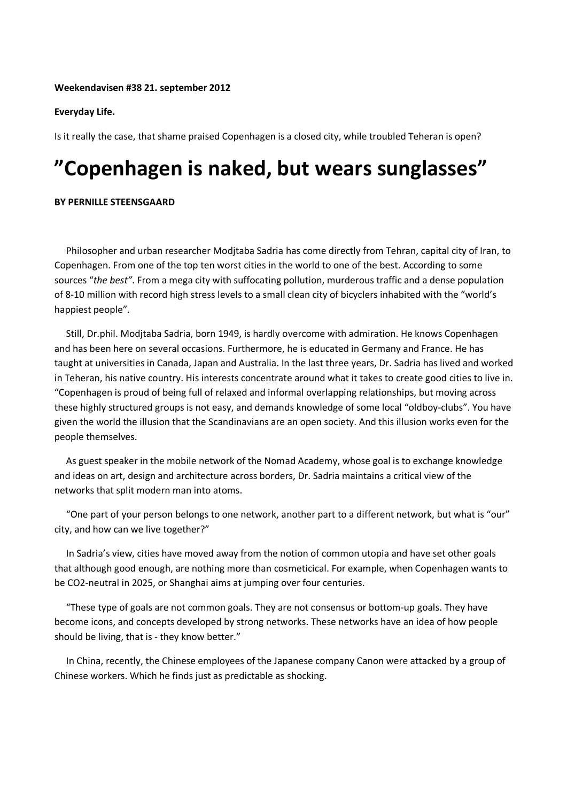### **Weekendavisen #38 21. september 2012**

## **Everyday Life.**

Is it really the case, that shame praised Copenhagen is a closed city, while troubled Teheran is open?

# **"Copenhagen is naked, but wears sunglasses"**

### **BY PERNILLE STEENSGAARD**

 Philosopher and urban researcher Modjtaba Sadria has come directly from Tehran, capital city of Iran, to Copenhagen. From one of the top ten worst cities in the world to one of the best. According to some sources "*the best"*. From a mega city with suffocating pollution, murderous traffic and a dense population of 8-10 million with record high stress levels to a small clean city of bicyclers inhabited with the "world's happiest people".

 Still, Dr.phil. Modjtaba Sadria, born 1949, is hardly overcome with admiration. He knows Copenhagen and has been here on several occasions. Furthermore, he is educated in Germany and France. He has taught at universities in Canada, Japan and Australia. In the last three years, Dr. Sadria has lived and worked in Teheran, his native country. His interests concentrate around what it takes to create good cities to live in. "Copenhagen is proud of being full of relaxed and informal overlapping relationships, but moving across these highly structured groups is not easy, and demands knowledge of some local "oldboy-clubs". You have given the world the illusion that the Scandinavians are an open society. And this illusion works even for the people themselves.

 As guest speaker in the mobile network of the Nomad Academy, whose goal is to exchange knowledge and ideas on art, design and architecture across borders, Dr. Sadria maintains a critical view of the networks that split modern man into atoms.

 "One part of your person belongs to one network, another part to a different network, but what is "our" city, and how can we live together?"

 In Sadria's view, cities have moved away from the notion of common utopia and have set other goals that although good enough, are nothing more than cosmeticical. For example, when Copenhagen wants to be CO2-neutral in 2025, or Shanghai aims at jumping over four centuries.

 "These type of goals are not common goals. They are not consensus or bottom-up goals. They have become icons, and concepts developed by strong networks. These networks have an idea of how people should be living, that is - they know better."

 In China, recently, the Chinese employees of the Japanese company Canon were attacked by a group of Chinese workers. Which he finds just as predictable as shocking.